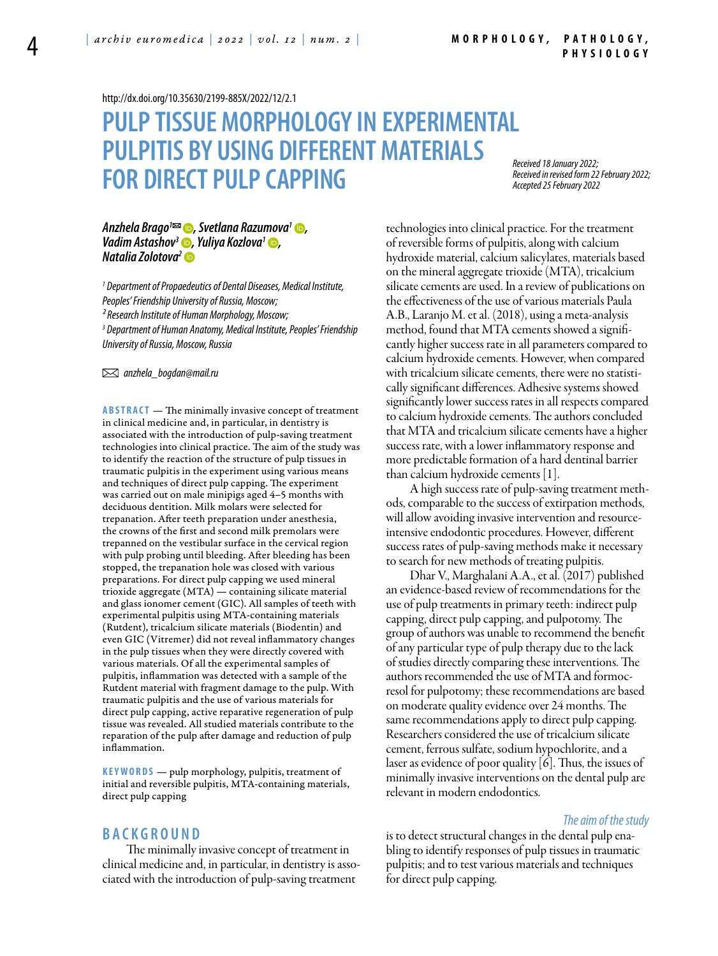<http://dx.doi.org/10.35630/2199-885X/2022/12/2.1>

# **PULP TISSUE MORPHOLOGY IN EXPERIMENTAL PULPITIS BY USING DIFFERENT MATERIALS FOR DIRECT PULP CAPPING**

*Received 18 January 2022; Received in revised form 22 February 2022; Accepted 25 February 2022*

#### *[Anzhela Brago](https://orcid.org/0000-0001-8947-4357)1 , [Svetlana Razumova1](https://orcid.org/0000-0002-9533-9204) , Vadim Astashov<sup>3</sup> •, Yuliya Kozlova<sup>1</sup> •, [Natalia Zolotova](https://orcid.org/0000-0002-0119-9889)2*

*1 Department of Propaedeutics of Dental Diseases, Medical Institute, Peoples' Friendship University of Russia, Moscow; ² Research Institute of Human Morphology, Moscow; 3 Department of Human Anatomy, Medical Institute, Peoples' Friendship University of Russia, Moscow, Russia* 

 *anzhela\_bogdan@mail.ru* 

**Abstract** — The minimally invasive concept of treatment in clinical medicine and, in particular, in dentistry is associated with the introduction of pulp-saving treatment technologies into clinical practice. The aim of the study was to identify the reaction of the structure of pulp tissues in traumatic pulpitis in the experiment using various means and techniques of direct pulp capping. The experiment was carried out on male minipigs aged 4–5 months with deciduous dentition. Milk molars were selected for trepanation. After teeth preparation under anesthesia, the crowns of the first and second milk premolars were trepanned on the vestibular surface in the cervical region with pulp probing until bleeding. After bleeding has been stopped, the trepanation hole was closed with various preparations. For direct pulp capping we used mineral trioxide aggregate (MTA) — containing silicate material and glass ionomer cement (GIC). All samples of teeth with experimental pulpitis using MTA-containing materials (Rutdent), tricalcium silicate materials (Biodentin) and even GIC (Vitremer) did not reveal inflammatory changes in the pulp tissues when they were directly covered with various materials. Of all the experimental samples of pulpitis, inflammation was detected with a sample of the Rutdent material with fragment damage to the pulp. With traumatic pulpitis and the use of various materials for direct pulp capping, active reparative regeneration of pulp tissue was revealed. All studied materials contribute to the reparation of the pulp after damage and reduction of pulp inflammation.

**K eywords** — pulp morphology, pulpitis, treatment of initial and reversible pulpitis, MTA-containing materials, direct pulp capping

# **B ackgr o u n d**

The minimally invasive concept of treatment in clinical medicine and, in particular, in dentistry is associated with the introduction of pulp-saving treatment

technologies into clinical practice. For the treatment of reversible forms of pulpitis, along with calcium hydroxide material, calcium salicylates, materials based on the mineral aggregate trioxide (MTA), tricalcium silicate cements are used. In a review of publications on the effectiveness of the use of various materials Paula A.B., Laranjo M. et al. (2018), using a meta-analysis method, found that MTA cements showed a significantly higher success rate in all parameters compared to calcium hydroxide cements. However, when compared with tricalcium silicate cements, there were no statistically significant differences. Adhesive systems showed significantly lower success rates in all respects compared to calcium hydroxide cements. The authors concluded that MTA and tricalcium silicate cements have a higher success rate, with a lower inflammatory response and more predictable formation of a hard dentinal barrier than calcium hydroxide cements [1].

A high success rate of pulp-saving treatment methods, comparable to the success of extirpation methods, will allow avoiding invasive intervention and resourceintensive endodontic procedures. However, different success rates of pulp-saving methods make it necessary to search for new methods of treating pulpitis.

Dhar V., Marghalani A.A., еt al. (2017) published an evidence-based review of recommendations for the use of pulp treatments in primary teeth: indirect pulp capping, direct pulp capping, and pulpotomy. The group of authors was unable to recommend the benefit of any particular type of pulp therapy due to the lack of studies directly comparing these interventions. The authors recommended the use of MTA and formocresol for pulpotomy; these recommendations are based on moderate quality evidence over 24 months. The same recommendations apply to direct pulp capping. Researchers considered the use of tricalcium silicate cement, ferrous sulfate, sodium hypochlorite, and a laser as evidence of poor quality [6]. Thus, the issues of minimally invasive interventions on the dental pulp are relevant in modern endodontics.

#### *The aim of the study*

is to detect structural changes in the dental pulp enabling to identify responses of pulp tissues in traumatic pulpitis; and to test various materials and techniques for direct pulp capping.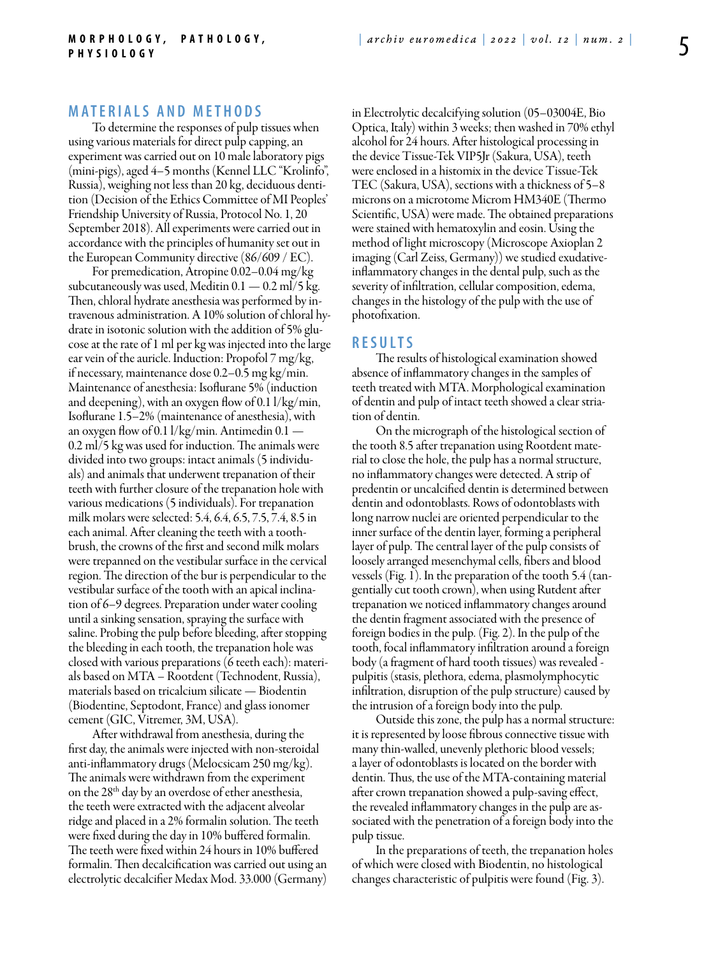# **MATERIALS AND METHODS**

To determine the responses of pulp tissues when using various materials for direct pulp capping, an experiment was carried out on 10 male laboratory pigs (mini-pigs), aged 4–5 months (Kennel LLC "Krolinfo", Russia), weighing not less than 20 kg, deciduous dentition (Decision of the Ethics Committee of MI Peoples' Friendship University of Russia, Protocol No. 1, 20 September 2018). All experiments were carried out in accordance with the principles of humanity set out in the European Community directive (86/609 / EC).

For premedication, Atropine 0.02–0.04 mg/kg subcutaneously was used, Meditin  $0.1 - 0.2$  ml/5 kg. Then, chloral hydrate anesthesia was performed by intravenous administration. A 10% solution of chloral hydrate in isotonic solution with the addition of 5% glucose at the rate of 1 ml per kg was injected into the large ear vein of the auricle. Induction: Propofol 7 mg/kg, if necessary, maintenance dose 0.2–0.5 mg kg/min. Maintenance of anesthesia: Isoflurane 5% (induction and deepening), with an oxygen flow of 0.1 l/kg/min, Isoflurane 1.5–2% (maintenance of anesthesia), with an oxygen flow of 0.1 l/kg/min. Antimedin 0.1 — 0.2 ml/5 kg was used for induction. The animals were divided into two groups: intact animals (5 individuals) and animals that underwent trepanation of their teeth with further closure of the trepanation hole with various medications (5 individuals). For trepanation milk molars were selected: 5.4, 6.4, 6.5, 7.5, 7.4, 8.5 in each animal. After cleaning the teeth with a toothbrush, the crowns of the first and second milk molars were trepanned on the vestibular surface in the cervical region. The direction of the bur is perpendicular to the vestibular surface of the tooth with an apical inclination of 6–9 degrees. Preparation under water cooling until a sinking sensation, spraying the surface with saline. Probing the pulp before bleeding, after stopping the bleeding in each tooth, the trepanation hole was closed with various preparations (6 teeth each): materials based on MTA – Rootdent (Technodent, Russia), materials based on tricalcium silicate — Biodentin (Biodentine, Septodont, France) and glass ionomer cement (GIC, Vitremer, 3M, USA).

After withdrawal from anesthesia, during the first day, the animals were injected with non-steroidal anti-inflammatory drugs (Melocsicam 250 mg/kg). The animals were withdrawn from the experiment on the 28th day by an overdose of ether anesthesia, the teeth were extracted with the adjacent alveolar ridge and placed in a 2% formalin solution. The teeth were fixed during the day in 10% buffered formalin. The teeth were fixed within 24 hours in 10% buffered formalin. Then decalcification was carried out using an electrolytic decalcifier Medax Mod. 33.000 (Germany) in Electrolytic decalcifying solution (05–03004E, Bio Optica, Italy) within 3 weeks; then washed in 70% ethyl alcohol for 24 hours. After histological processing in the device Tissue-Tek VIP5Jr (Sakura, USA), teeth were enclosed in a histomix in the device Tissue-Tek TEC (Sakura, USA), sections with a thickness of 5–8 microns on a microtome Microm HM340E (Thermo Scientific, USA) were made. The obtained preparations were stained with hematoxylin and eosin. Using the method of light microscopy (Microscope Axioplan 2 imaging (Carl Zeiss, Germany)) we studied exudativeinflammatory changes in the dental pulp, such as the severity of infiltration, cellular composition, edema, changes in the histology of the pulp with the use of photofixation.

### **R e s ult s**

The results of histological examination showed absence of inflammatory changes in the samples of teeth treated with MTA. Morphological examination of dentin and pulp of intact teeth showed a clear striation of dentin.

On the micrograph of the histological section of the tooth 8.5 after trepanation using Rootdent material to close the hole, the pulp has a normal structure, no inflammatory changes were detected. A strip of predentin or uncalcified dentin is determined between dentin and odontoblasts. Rows of odontoblasts with long narrow nuclei are oriented perpendicular to the inner surface of the dentin layer, forming a peripheral layer of pulp. The central layer of the pulp consists of loosely arranged mesenchymal cells, fibers and blood vessels (Fig. 1). In the preparation of the tooth 5.4 (tangentially cut tooth crown), when using Rutdent after trepanation we noticed inflammatory changes around the dentin fragment associated with the presence of foreign bodies in the pulp. (Fig. 2). In the pulp of the tooth, focal inflammatory infiltration around a foreign body (a fragment of hard tooth tissues) was revealed pulpitis (stasis, plethora, edema, plasmolymphocytic infiltration, disruption of the pulp structure) caused by the intrusion of a foreign body into the pulp.

Outside this zone, the pulp has a normal structure: it is represented by loose fibrous connective tissue with many thin-walled, unevenly plethoric blood vessels; a layer of odontoblasts is located on the border with dentin. Thus, the use of the MTA-containing material after crown trepanation showed a pulp-saving effect, the revealed inflammatory changes in the pulp are associated with the penetration of a foreign body into the pulp tissue.

In the preparations of teeth, the trepanation holes of which were closed with Biodentin, no histological changes characteristic of pulpitis were found (Fig. 3).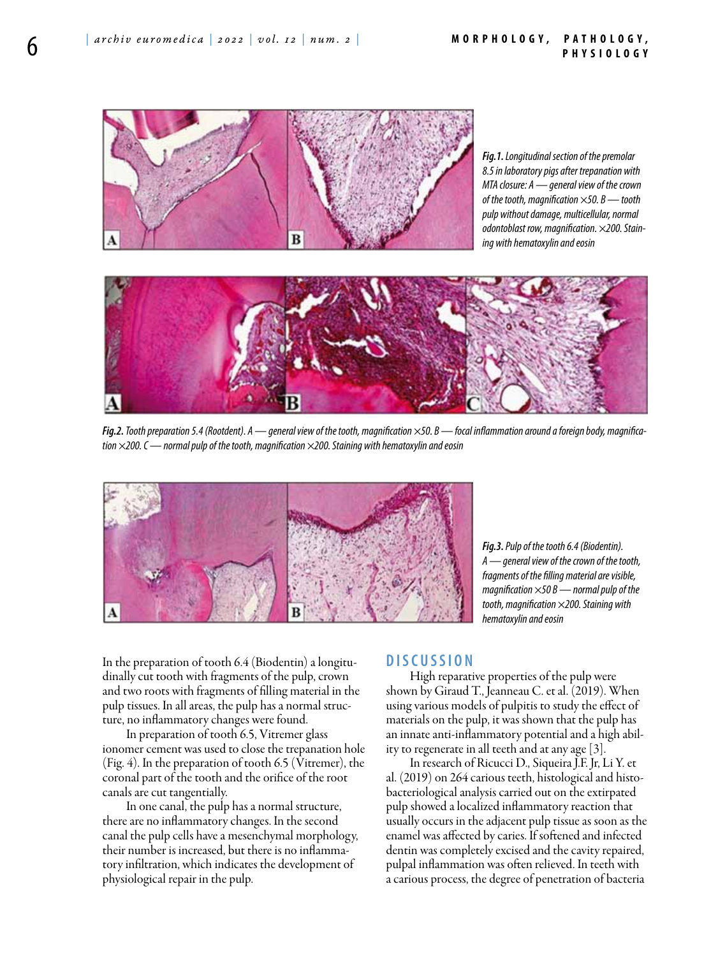#### **M orphology , P athology , P hysiology**



*Fig.1. Longitudinal section of the premolar 8.5 in laboratory pigs after trepanation with MTA closure: A — general view of the crown of the tooth, magnification ×50. B — tooth pulp without damage, multicellular, normal odontoblast row, magnification. ×200. Staining with hematoxylin and eosin*



*Fig.2. Tooth preparation 5.4 (Rootdent). A — general view of the tooth, magnification ×50. B — focal inflammation around a foreign body, magnification ×200. C — normal pulp of the tooth, magnification ×200. Staining with hematoxylin and eosin*



*Fig.3. Pulp of the tooth 6.4 (Biodentin). А — general view of the crown of the tooth, fragments of the filling material are visible, magnification ×50 B — normal pulp of the tooth, magnification ×200. Staining with hematoxylin and eosin*

In the preparation of tooth 6.4 (Biodentin) a longitudinally cut tooth with fragments of the pulp, crown and two roots with fragments of filling material in the pulp tissues. In all areas, the pulp has a normal structure, no inflammatory changes were found.

In preparation of tooth 6.5, Vitremer glass ionomer cement was used to close the trepanation hole (Fig. 4). In the preparation of tooth 6.5 (Vitremer), the coronal part of the tooth and the orifice of the root canals are cut tangentially.

In one canal, the pulp has a normal structure, there are no inflammatory changes. In the second canal the pulp cells have a mesenchymal morphology, their number is increased, but there is no inflammatory infiltration, which indicates the development of physiological repair in the pulp.

## **D iscu s si o n**

High reparative properties of the pulp were shown by Giraud T., Jeanneau C. et al. (2019). When using various models of pulpitis to study the effect of materials on the pulp, it was shown that the pulp has an innate anti-inflammatory potential and a high ability to regenerate in all teeth and at any age [3].

In research of Ricucci D., Siqueira J.F. Jr, Li Y. еt al. (2019) on 264 carious teeth, histological and histobacteriological analysis carried out on the extirpated pulp showed a localized inflammatory reaction that usually occurs in the adjacent pulp tissue as soon as the enamel was affected by caries. If softened and infected dentin was completely excised and the cavity repaired, pulpal inflammation was often relieved. In teeth with a carious process, the degree of penetration of bacteria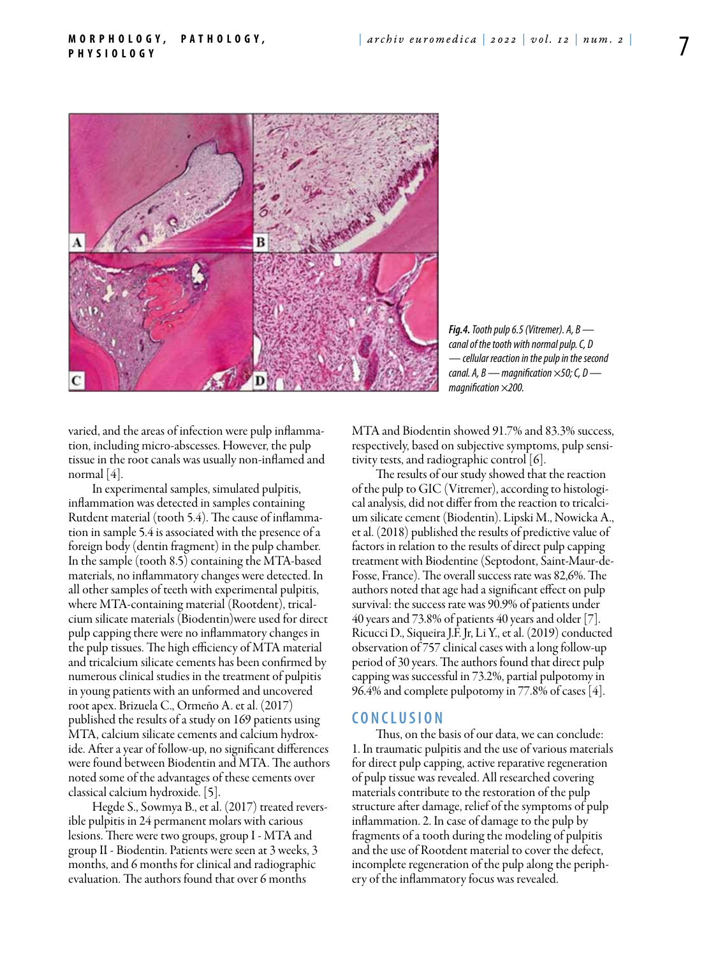

*Fig.4. Tooth pulp 6.5 (Vitremer). А, B canal of the tooth with normal pulp. C, D — cellular reaction in the pulp in the second canal. А, В — magnification ×50; C, D magnification ×200.*

varied, and the areas of infection were pulp inflammation, including micro-abscesses. However, the pulp tissue in the root canals was usually non-inflamed and normal [4].

In experimental samples, simulated pulpitis, inflammation was detected in samples containing Rutdent material (tooth 5.4). The cause of inflammation in sample 5.4 is associated with the presence of a foreign body (dentin fragment) in the pulp chamber. In the sample (tooth 8.5) containing the MTA-based materials, no inflammatory changes were detected. In all other samples of teeth with experimental pulpitis, where MTA-containing material (Rootdent), tricalcium silicate materials (Biodentin)were used for direct pulp capping there were no inflammatory changes in the pulp tissues. The high efficiency of MTA material and tricalcium silicate cements has been confirmed by numerous clinical studies in the treatment of pulpitis in young patients with an unformed and uncovered root apex. Brizuela C., Ormeño A. еt al. (2017) published the results of a study on 169 patients using MTA, calcium silicate cements and calcium hydroxide. After a year of follow-up, no significant differences were found between Biodentin and MTA. The authors noted some of the advantages of these cements over classical calcium hydroxide. [5].

Hegde S., Sowmya B., et al. (2017) treated reversible pulpitis in 24 permanent molars with carious lesions. There were two groups, group I - MTA and group II - Biodentin. Patients were seen at 3 weeks, 3 months, and 6 months for clinical and radiographic evaluation. The authors found that over 6 months

MTA and Biodentin showed 91.7% and 83.3% success, respectively, based on subjective symptoms, pulp sensitivity tests, and radiographic control [6].

The results of our study showed that the reaction of the pulp to GIC (Vitremer), according to histological analysis, did not differ from the reaction to tricalcium silicate cement (Biodentin). Lipski M., Nowicka A., еt al. (2018) published the results of predictive value of factors in relation to the results of direct pulp capping treatment with Biodentine (Septodont, Saint-Maur-de-Fosse, France). The overall success rate was 82,6%. The authors noted that age had a significant effect on pulp survival: the success rate was 90.9% of patients under 40 years and 73.8% of patients 40 years and older [7]. Ricucci D., Siqueira J.F. Jr, Li Y., еt al. (2019) conducted observation of 757 clinical cases with a long follow-up period of 30 years. The authors found that direct pulp capping was successful in 73.2%, partial pulpotomy in 96.4% and complete pulpotomy in 77.8% of cases [4].

### **C o n clu si o n**

Thus, on the basis of our data, we can conclude: 1. In traumatic pulpitis and the use of various materials for direct pulp capping, active reparative regeneration of pulp tissue was revealed. All researched covering materials contribute to the restoration of the pulp structure after damage, relief of the symptoms of pulp inflammation. 2. In case of damage to the pulp by fragments of a tooth during the modeling of pulpitis and the use of Rootdent material to cover the defect, incomplete regeneration of the pulp along the periphery of the inflammatory focus was revealed.